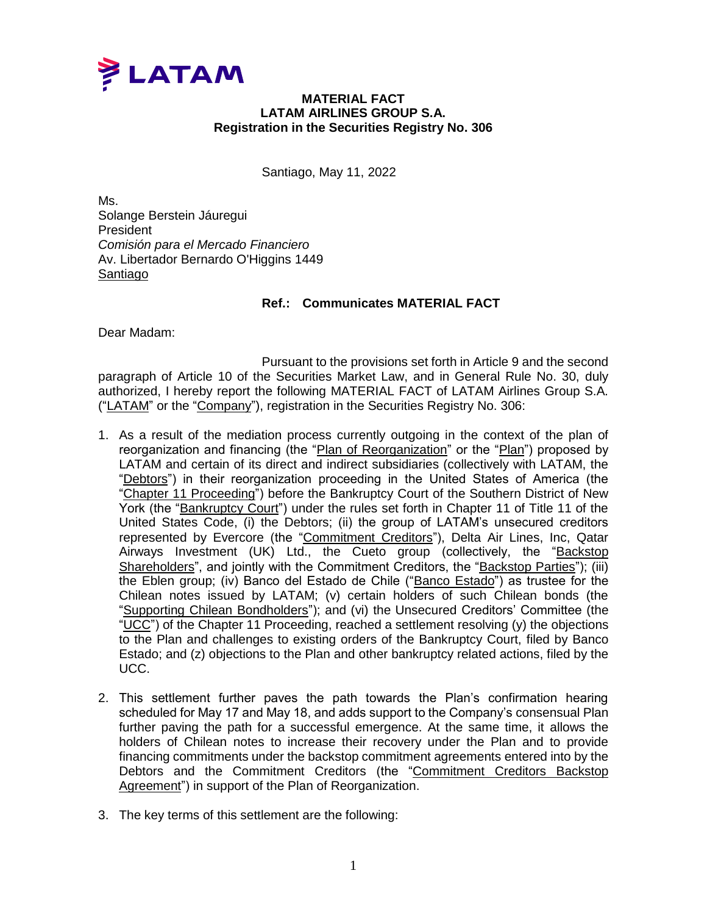

## **MATERIAL FACT LATAM AIRLINES GROUP S.A. Registration in the Securities Registry No. 306**

Santiago, May 11, 2022

Ms. Solange Berstein Jáuregui **President** *Comisión para el Mercado Financiero* Av. Libertador Bernardo O'Higgins 1449 Santiago

## **Ref.: Communicates MATERIAL FACT**

Dear Madam:

Pursuant to the provisions set forth in Article 9 and the second paragraph of Article 10 of the Securities Market Law, and in General Rule No. 30, duly authorized, I hereby report the following MATERIAL FACT of LATAM Airlines Group S.A. ("LATAM" or the "Company"), registration in the Securities Registry No. 306:

- 1. As a result of the mediation process currently outgoing in the context of the plan of reorganization and financing (the "Plan of Reorganization" or the "Plan") proposed by LATAM and certain of its direct and indirect subsidiaries (collectively with LATAM, the "Debtors") in their reorganization proceeding in the United States of America (the "Chapter 11 Proceeding") before the Bankruptcy Court of the Southern District of New York (the "Bankruptcy Court") under the rules set forth in Chapter 11 of Title 11 of the United States Code, (i) the Debtors; (ii) the group of LATAM's unsecured creditors represented by Evercore (the "Commitment Creditors"), Delta Air Lines, Inc, Qatar Airways Investment (UK) Ltd., the Cueto group (collectively, the "Backstop Shareholders", and jointly with the Commitment Creditors, the "Backstop Parties"); (iii) the Eblen group; (iv) Banco del Estado de Chile ("Banco Estado") as trustee for the Chilean notes issued by LATAM; (v) certain holders of such Chilean bonds (the "Supporting Chilean Bondholders"); and (vi) the Unsecured Creditors' Committee (the "UCC") of the Chapter 11 Proceeding, reached a settlement resolving  $(v)$  the objections to the Plan and challenges to existing orders of the Bankruptcy Court, filed by Banco Estado; and (z) objections to the Plan and other bankruptcy related actions, filed by the UCC.
- 2. This settlement further paves the path towards the Plan's confirmation hearing scheduled for May 17 and May 18, and adds support to the Company's consensual Plan further paving the path for a successful emergence. At the same time, it allows the holders of Chilean notes to increase their recovery under the Plan and to provide financing commitments under the backstop commitment agreements entered into by the Debtors and the Commitment Creditors (the "Commitment Creditors Backstop Agreement") in support of the Plan of Reorganization.
- 3. The key terms of this settlement are the following: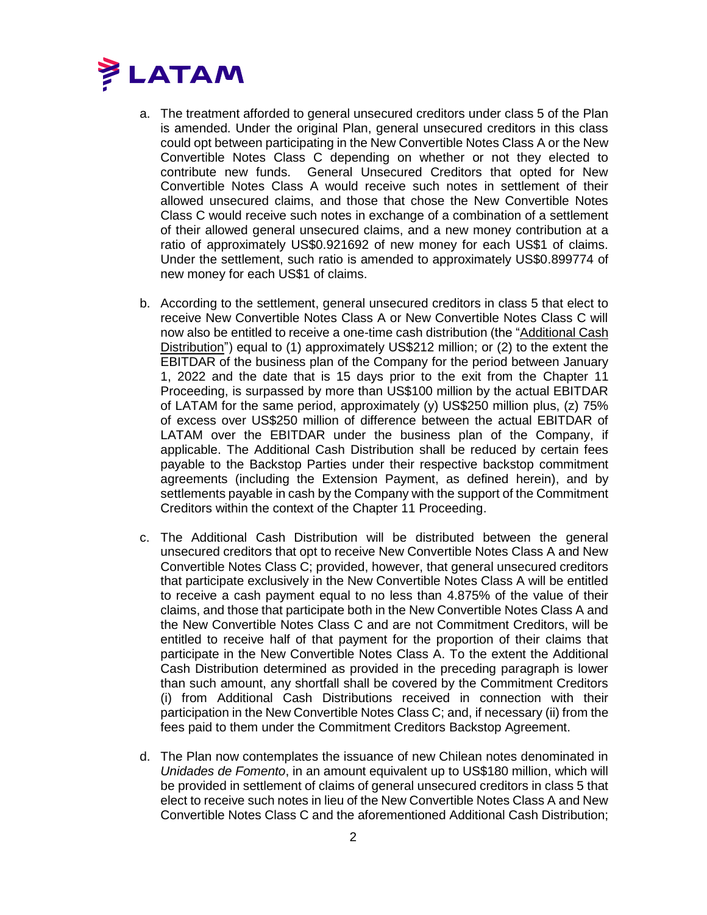

- a. The treatment afforded to general unsecured creditors under class 5 of the Plan is amended. Under the original Plan, general unsecured creditors in this class could opt between participating in the New Convertible Notes Class A or the New Convertible Notes Class C depending on whether or not they elected to contribute new funds. General Unsecured Creditors that opted for New Convertible Notes Class A would receive such notes in settlement of their allowed unsecured claims, and those that chose the New Convertible Notes Class C would receive such notes in exchange of a combination of a settlement of their allowed general unsecured claims, and a new money contribution at a ratio of approximately US\$0.921692 of new money for each US\$1 of claims. Under the settlement, such ratio is amended to approximately US\$0.899774 of new money for each US\$1 of claims.
- b. According to the settlement, general unsecured creditors in class 5 that elect to receive New Convertible Notes Class A or New Convertible Notes Class C will now also be entitled to receive a one-time cash distribution (the "Additional Cash Distribution") equal to (1) approximately US\$212 million; or (2) to the extent the EBITDAR of the business plan of the Company for the period between January 1, 2022 and the date that is 15 days prior to the exit from the Chapter 11 Proceeding, is surpassed by more than US\$100 million by the actual EBITDAR of LATAM for the same period, approximately (y) US\$250 million plus, (z) 75% of excess over US\$250 million of difference between the actual EBITDAR of LATAM over the EBITDAR under the business plan of the Company, if applicable. The Additional Cash Distribution shall be reduced by certain fees payable to the Backstop Parties under their respective backstop commitment agreements (including the Extension Payment, as defined herein), and by settlements payable in cash by the Company with the support of the Commitment Creditors within the context of the Chapter 11 Proceeding.
- c. The Additional Cash Distribution will be distributed between the general unsecured creditors that opt to receive New Convertible Notes Class A and New Convertible Notes Class C; provided, however, that general unsecured creditors that participate exclusively in the New Convertible Notes Class A will be entitled to receive a cash payment equal to no less than 4.875% of the value of their claims, and those that participate both in the New Convertible Notes Class A and the New Convertible Notes Class C and are not Commitment Creditors, will be entitled to receive half of that payment for the proportion of their claims that participate in the New Convertible Notes Class A. To the extent the Additional Cash Distribution determined as provided in the preceding paragraph is lower than such amount, any shortfall shall be covered by the Commitment Creditors (i) from Additional Cash Distributions received in connection with their participation in the New Convertible Notes Class C; and, if necessary (ii) from the fees paid to them under the Commitment Creditors Backstop Agreement.
- d. The Plan now contemplates the issuance of new Chilean notes denominated in *Unidades de Fomento*, in an amount equivalent up to US\$180 million, which will be provided in settlement of claims of general unsecured creditors in class 5 that elect to receive such notes in lieu of the New Convertible Notes Class A and New Convertible Notes Class C and the aforementioned Additional Cash Distribution;